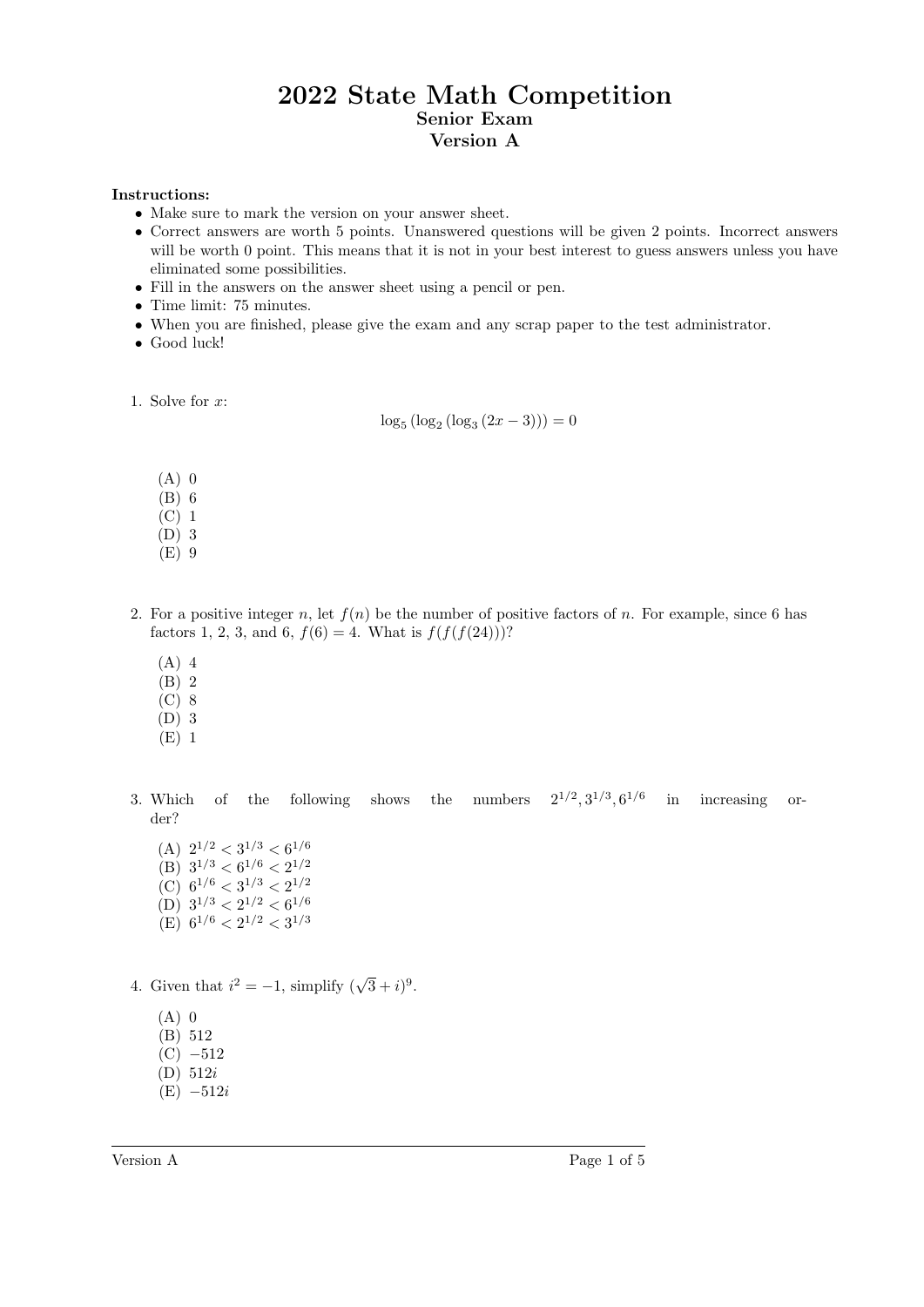## 2022 State Math Competition Senior Exam Version A

## Instructions:

- Make sure to mark the version on your answer sheet.
- Correct answers are worth 5 points. Unanswered questions will be given 2 points. Incorrect answers will be worth 0 point. This means that it is not in your best interest to guess answers unless you have eliminated some possibilities.
- Fill in the answers on the answer sheet using a pencil or pen.
- Time limit: 75 minutes.
- When you are finished, please give the exam and any scrap paper to the test administrator.
- Good luck!
- 1. Solve for  $x$ :

 $log_5 (log_2 (log_3 (2x - 3))) = 0$ 

- $(A)$  0
- (B) 6
- $(C)$  1
- (D) 3
- (E) 9
- 2. For a positive integer n, let  $f(n)$  be the number of positive factors of n. For example, since 6 has factors 1, 2, 3, and 6,  $f(6) = 4$ . What is  $f(f(f(24)))$ ?
	- (A) 4
	- (B) 2
	- (C) 8
	- (D) 3
	- (E) 1
- 3. Which of the following shows the numbers  $2^{1/2}$ ,  $3^{1/3}$ ,  $6^{1/6}$  in increasing order?
	- (A)  $2^{1/2} < 3^{1/3} < 6^{1/6}$ (B)  $3^{1/3} < 6^{1/6} < 2^{1/2}$ (C)  $6^{1/6} < 3^{1/3} < 2^{1/2}$ (D)  $3^{1/3} < 2^{1/2} < 6^{1/6}$ (E)  $6^{1/6} < 2^{1/2} < 3^{1/3}$
- 4. Given that  $i^2 = -1$ , simplify  $(\sqrt{3} + i)^9$ .
	- $(A)$  0
	- (B) 512
	- $(C) -512$
	- (D) 512i
	- $(E) -512i$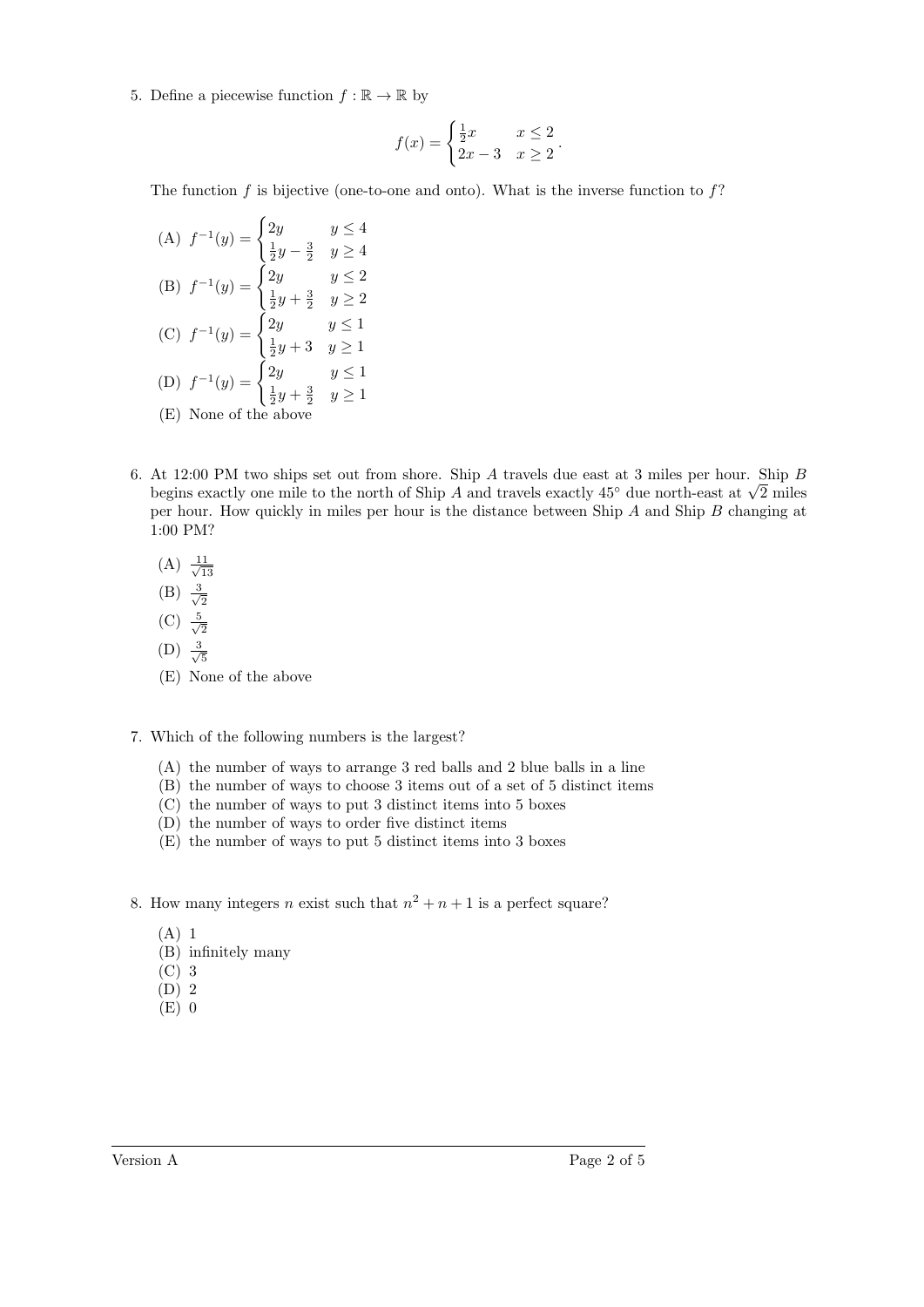5. Define a piecewise function  $f : \mathbb{R} \to \mathbb{R}$  by

$$
f(x) = \begin{cases} \frac{1}{2}x & x \le 2\\ 2x - 3 & x \ge 2 \end{cases}.
$$

The function f is bijective (one-to-one and onto). What is the inverse function to  $f$ ?

(A) 
$$
f^{-1}(y) = \begin{cases} 2y & y \le 4 \\ \frac{1}{2}y - \frac{3}{2} & y \ge 4 \end{cases}
$$
  
\n(B)  $f^{-1}(y) = \begin{cases} 2y & y \le 2 \\ \frac{1}{2}y + \frac{3}{2} & y \ge 2 \end{cases}$   
\n(C)  $f^{-1}(y) = \begin{cases} 2y & y \le 1 \\ \frac{1}{2}y + 3 & y \ge 1 \end{cases}$   
\n(D)  $f^{-1}(y) = \begin{cases} 2y & y \le 1 \\ \frac{1}{2}y + \frac{3}{2} & y \ge 1 \end{cases}$   
\n(E) None of the above

- 6. At 12:00 PM two ships set out from shore. Ship A travels due east at 3 miles per hour. Ship B At 12:00 PM two snips set out from snore. Snip A travels que east at 3 miles per nour. Snip B begins exactly one mile to the north of Ship A and travels exactly 45° due north-east at  $\sqrt{2}$  miles per hour. How quickly in miles per hour is the distance between Ship A and Ship B changing at 1:00 PM?
	- $(A) \frac{11}{4}$ 13
	- $(B) \frac{3}{2}$
	- 2  $(C) \frac{5}{\sqrt{2}}$
	- 2  $(D) \frac{3}{\sqrt{2}}$
	- 5 (E) None of the above

## 7. Which of the following numbers is the largest?

- (A) the number of ways to arrange 3 red balls and 2 blue balls in a line
- (B) the number of ways to choose 3 items out of a set of 5 distinct items
- (C) the number of ways to put 3 distinct items into 5 boxes
- (D) the number of ways to order five distinct items
- (E) the number of ways to put 5 distinct items into 3 boxes
- 8. How many integers *n* exist such that  $n^2 + n + 1$  is a perfect square?
	- (A) 1
	- (B) infinitely many
	- (C) 3
	- (D) 2
	- (E) 0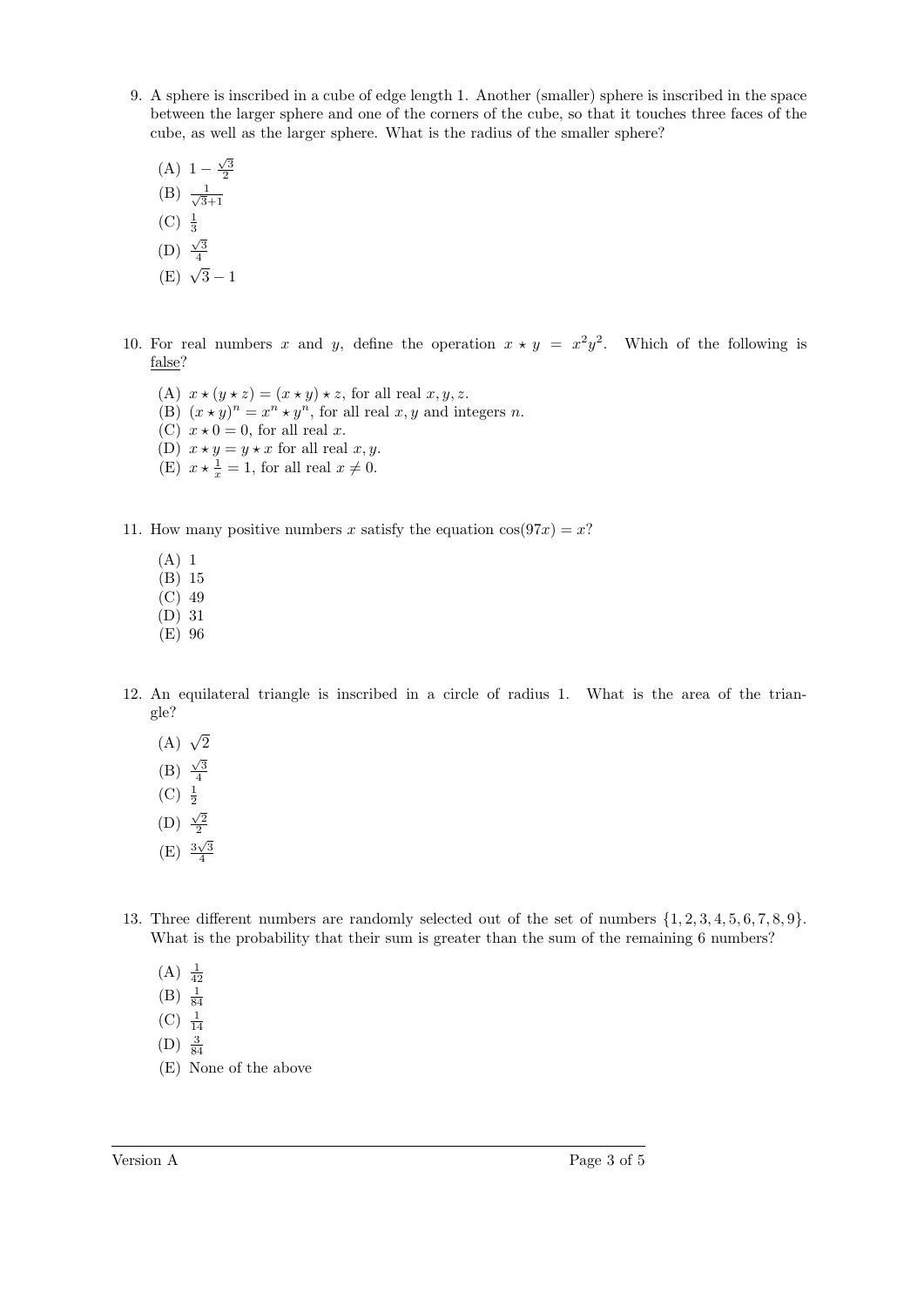- 9. A sphere is inscribed in a cube of edge length 1. Another (smaller) sphere is inscribed in the space between the larger sphere and one of the corners of the cube, so that it touches three faces of the cube, as well as the larger sphere. What is the radius of the smaller sphere?
	- (A)  $1 \frac{\sqrt{3}}{2}$
	- $(B) \frac{1}{\sqrt{2}}$ 3+1
	- $(C) \frac{1}{3}$
	- (D)  $\frac{\sqrt{3}}{4}$
	- $(E) \sqrt{3} 1$
- 10. For real numbers x and y, define the operation  $x \star y = x^2y^2$ . Which of the following is false?
	- (A)  $x \star (y \star z) = (x \star y) \star z$ , for all real  $x, y, z$ . (B)  $(x \star y)^n = x^n \star y^n$ , for all real x, y and integers n. (C)  $x \star 0 = 0$ , for all real x. (D)  $x \star y = y \star x$  for all real  $x, y$ . (E)  $x \star \frac{1}{x} = 1$ , for all real  $x \neq 0$ .
- 11. How many positive numbers x satisfy the equation  $cos(97x) = x$ ?
	- (A) 1
	- (B) 15
	- (C) 49
	- (D) 31
	- (E) 96
- 12. An equilateral triangle is inscribed in a circle of radius 1. What is the area of the triangle?
	- (A)  $\sqrt{2}$
	- (B)  $\frac{\sqrt{3}}{4}$
	- $(C) \frac{1}{2}$
	- (D)  $\frac{\sqrt{2}}{2}$
	- $(E) \frac{3\sqrt{3}}{4}$
- 13. Three different numbers are randomly selected out of the set of numbers {1, 2, 3, 4, 5, 6, 7, 8, 9}. What is the probability that their sum is greater than the sum of the remaining 6 numbers?
	- $(A) \frac{1}{42}$
	- $(B) \frac{1}{84}$
	- $(C) \frac{1}{14}$
	- $(D) \frac{3}{84}$
	- (E) None of the above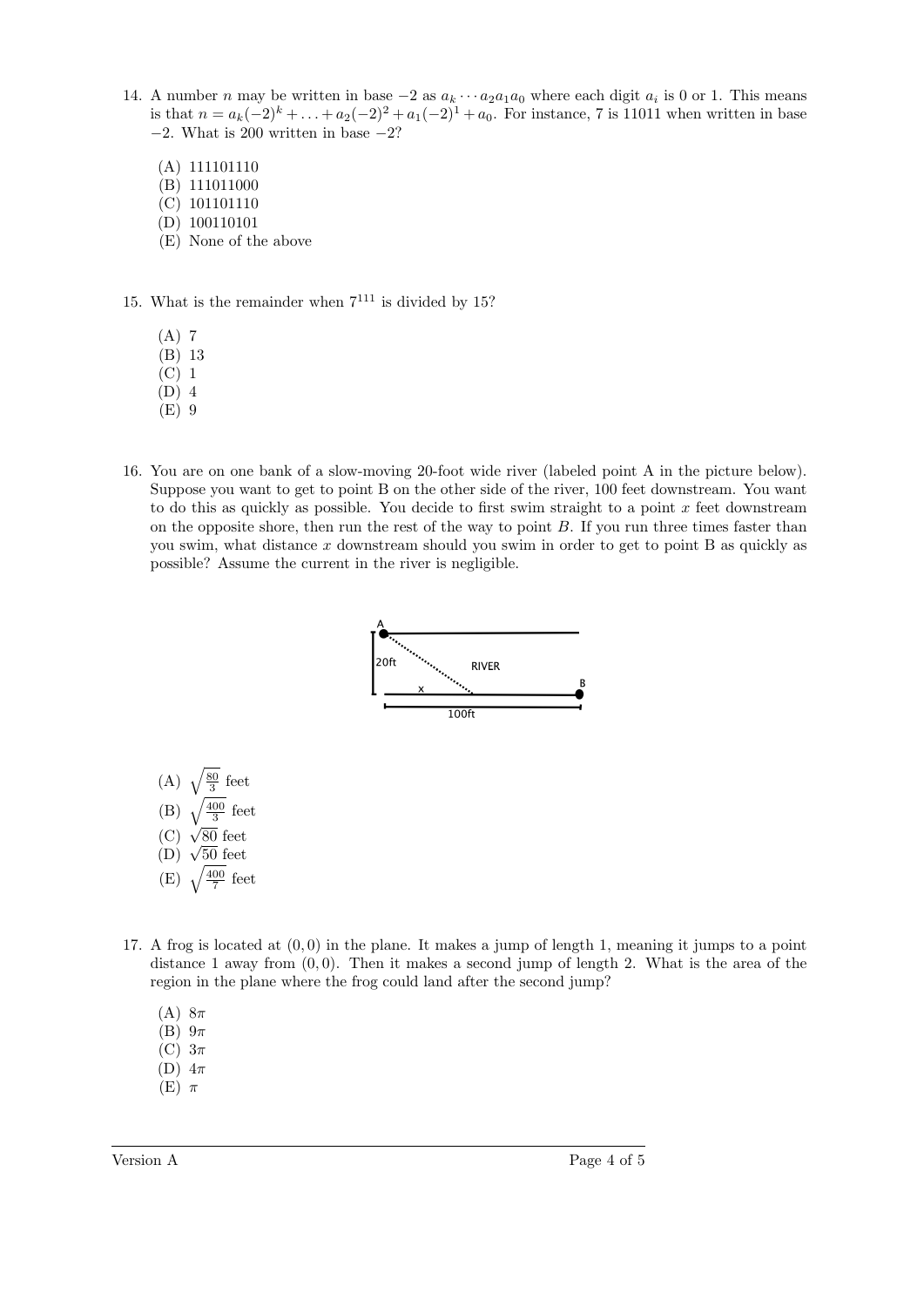- 14. A number n may be written in base  $-2$  as  $a_k \cdots a_2 a_1 a_0$  where each digit  $a_i$  is 0 or 1. This means is that  $n = a_k(-2)^k + \ldots + a_2(-2)^2 + a_1(-2)^1 + a_0$ . For instance, 7 is 11011 when written in base  $-2$ . What is 200 written in base  $-2$ ?
	- (A) 111101110
	- (B) 111011000
	- (C) 101101110
	- (D) 100110101
	- (E) None of the above
- 15. What is the remainder when  $7^{111}$  is divided by 15?
	- $(A)$  7
	- (B) 13
	- (C) 1
	- (D) 4
	- (E) 9
- 16. You are on one bank of a slow-moving 20-foot wide river (labeled point A in the picture below). Suppose you want to get to point B on the other side of the river, 100 feet downstream. You want to do this as quickly as possible. You decide to first swim straight to a point  $x$  feet downstream on the opposite shore, then run the rest of the way to point  $B$ . If you run three times faster than you swim, what distance  $x$  downstream should you swim in order to get to point  $B$  as quickly as possible? Assume the current in the river is negligible.



- $(C)$   $\sqrt{80}$  feet (C)  $\sqrt{50}$  reet<br>(D)  $\sqrt{50}$  feet
- $(E)$   $\sqrt{\frac{400}{7}}$  feet
- 17. A frog is located at (0, 0) in the plane. It makes a jump of length 1, meaning it jumps to a point distance 1 away from  $(0, 0)$ . Then it makes a second jump of length 2. What is the area of the region in the plane where the frog could land after the second jump?
	- (A)  $8\pi$
	- $(B)$   $9\pi$
	- $(C)$  3 $\pi$
	- (D)  $4\pi$
	- $(E)$   $\pi$